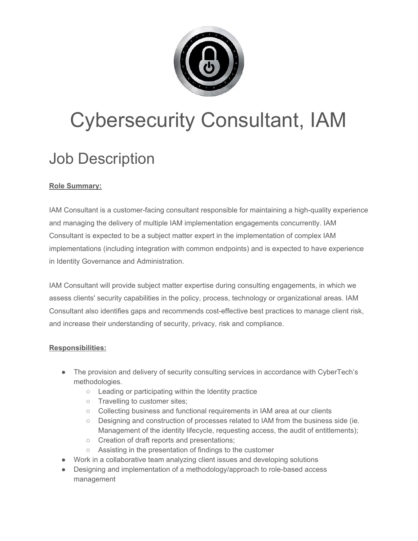

# Cybersecurity Consultant, IAM

# Job Description

## **Role Summary:**

IAM Consultant is a customer-facing consultant responsible for maintaining a high-quality experience and managing the delivery of multiple IAM implementation engagements concurrently. IAM Consultant is expected to be a subject matter expert in the implementation of complex IAM implementations (including integration with common endpoints) and is expected to have experience in Identity Governance and Administration.

IAM Consultant will provide subject matter expertise during consulting engagements, in which we assess clients' security capabilities in the policy, process, technology or organizational areas. IAM Consultant also identifies gaps and recommends cost-effective best practices to manage client risk, and increase their understanding of security, privacy, risk and compliance.

### **Responsibilities:**

- The provision and delivery of security consulting services in accordance with CyberTech's methodologies.
	- Leading or participating within the Identity practice
	- Travelling to customer sites;
	- Collecting business and functional requirements in IAM area at our clients
	- Designing and construction of processes related to IAM from the business side (ie. Management of the identity lifecycle, requesting access, the audit of entitlements);
	- Creation of draft reports and presentations;
	- Assisting in the presentation of findings to the customer
- Work in a collaborative team analyzing client issues and developing solutions
- Designing and implementation of a methodology/approach to role-based access management